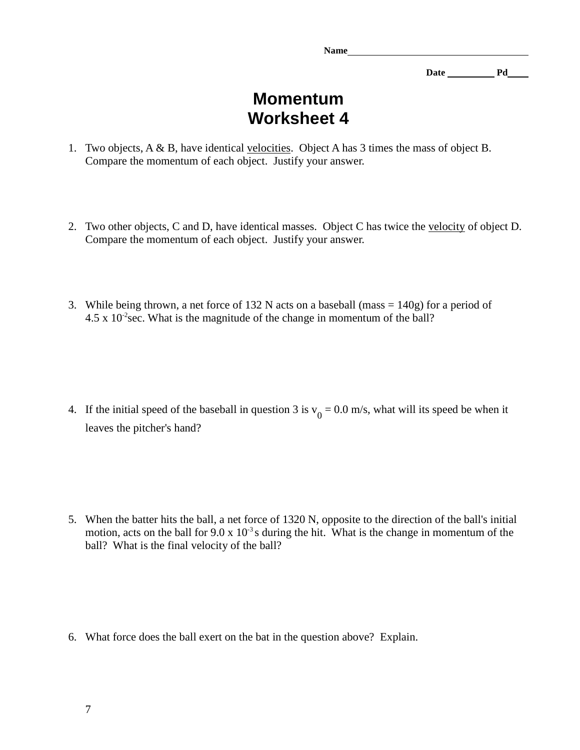**Name** 

**Date Pd** 

## **Momentum Worksheet 4**

- 1. Two objects, A & B, have identical velocities. Object A has 3 times the mass of object B. Compare the momentum of each object. Justify your answer.
- 2. Two other objects, C and D, have identical masses. Object C has twice the velocity of object D. Compare the momentum of each object. Justify your answer.
- 3. While being thrown, a net force of 132 N acts on a baseball (mass = 140g) for a period of  $4.5 \times 10^{-2}$  sec. What is the magnitude of the change in momentum of the ball?

4. If the initial speed of the baseball in question 3 is  $v_0 = 0.0$  m/s, what will its speed be when it leaves the pitcher's hand?

5. When the batter hits the ball, a net force of 1320 N, opposite to the direction of the ball's initial motion, acts on the ball for  $9.0 \times 10^{-3}$  s during the hit. What is the change in momentum of the ball? What is the final velocity of the ball?

6. What force does the ball exert on the bat in the question above? Explain.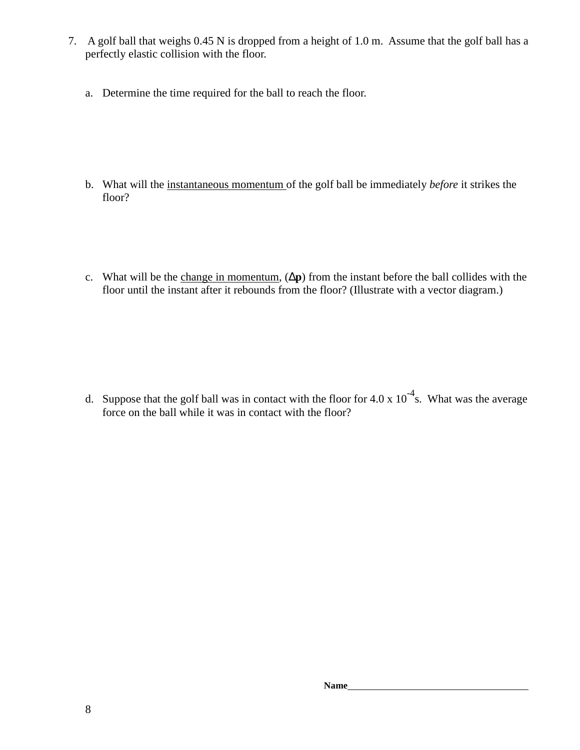- 7. A golf ball that weighs 0.45 N is dropped from a height of 1.0 m. Assume that the golf ball has a perfectly elastic collision with the floor.
	- a. Determine the time required for the ball to reach the floor.

- b. What will the instantaneous momentum of the golf ball be immediately *before* it strikes the floor?
- c. What will be the change in momentum, (∆**p**) from the instant before the ball collides with the floor until the instant after it rebounds from the floor? (Illustrate with a vector diagram.)

d. Suppose that the golf ball was in contact with the floor for 4.0 x  $10^{-4}$ s. What was the average force on the ball while it was in contact with the floor?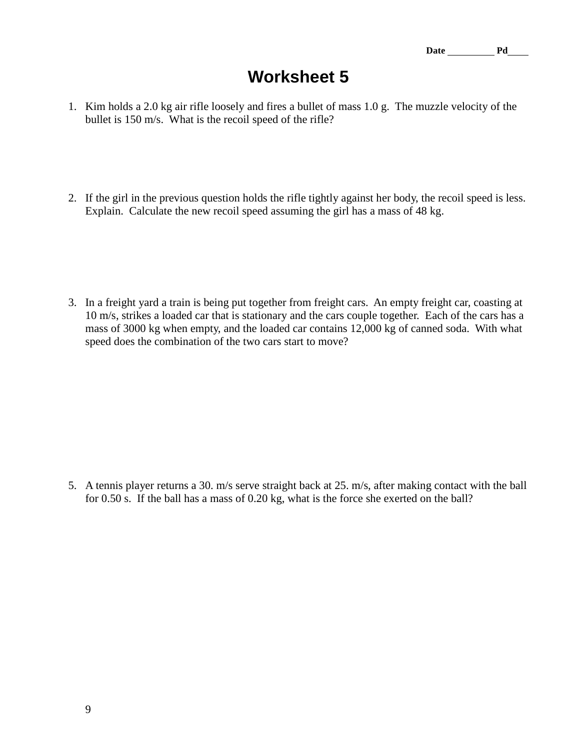## **Worksheet 5**

- 1. Kim holds a 2.0 kg air rifle loosely and fires a bullet of mass 1.0 g. The muzzle velocity of the bullet is 150 m/s. What is the recoil speed of the rifle?
- 2. If the girl in the previous question holds the rifle tightly against her body, the recoil speed is less. Explain. Calculate the new recoil speed assuming the girl has a mass of 48 kg.

3. In a freight yard a train is being put together from freight cars. An empty freight car, coasting at 10 m/s, strikes a loaded car that is stationary and the cars couple together. Each of the cars has a mass of 3000 kg when empty, and the loaded car contains 12,000 kg of canned soda. With what speed does the combination of the two cars start to move?

5. A tennis player returns a 30. m/s serve straight back at 25. m/s, after making contact with the ball for 0.50 s. If the ball has a mass of 0.20 kg, what is the force she exerted on the ball?